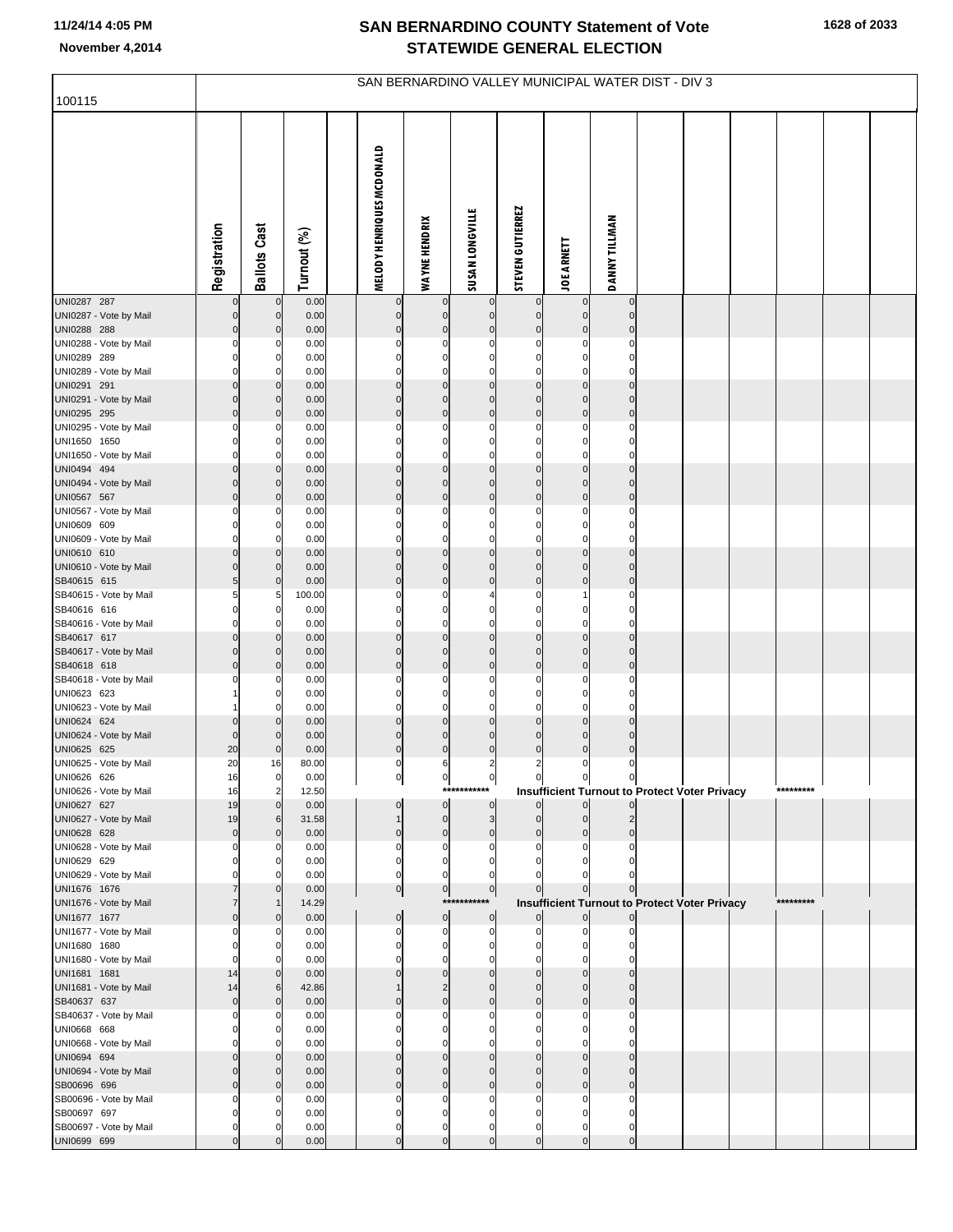| 100115                                 | SAN BERNARDINO VALLEY MUNICIPAL WATER DIST - DIV 3 |                            |                |  |                                  |                               |                             |                               |                            |                                                                      |  |  |  |           |  |  |
|----------------------------------------|----------------------------------------------------|----------------------------|----------------|--|----------------------------------|-------------------------------|-----------------------------|-------------------------------|----------------------------|----------------------------------------------------------------------|--|--|--|-----------|--|--|
|                                        |                                                    |                            |                |  |                                  |                               |                             |                               |                            |                                                                      |  |  |  |           |  |  |
|                                        | Registration                                       | <b>Ballots Cast</b>        | Turnout (%)    |  | <b>MELODY HENRIQUES MCDONALD</b> | <b>WAYNE HENDRIX</b>          | <b>SUSAN LONGVILLE</b>      | <b>STEVEN GUTIERREZ</b>       | <b>JOE ARNETT</b>          | <b>DANNY TILLMAN</b>                                                 |  |  |  |           |  |  |
| UNI0287 287                            | 0                                                  | $\overline{0}$             | 0.00           |  | $\mathbf 0$                      | $\bf{0}$                      | $\mathbf 0$                 | $\overline{0}$                | $\mathbf 0$                | $\mathbf 0$                                                          |  |  |  |           |  |  |
| UNI0287 - Vote by Mail<br>UNI0288 288  | $\overline{0}$<br>$\overline{0}$                   | $\mathbf 0$<br>$\mathbf 0$ | 0.00<br>0.00   |  | $\pmb{0}$<br>$\pmb{0}$           | $\pmb{0}$<br>$\mathbf{0}$     | $\mathbf 0$<br>$\mathbf 0$  | $\mathbf 0$<br>$\mathbf 0$    | $\mathbf 0$<br>$\mathbf 0$ | $\mathbf 0$<br>$\mathbf 0$                                           |  |  |  |           |  |  |
| UNI0288 - Vote by Mail                 | $\mathbf{0}$                                       | 0                          | 0.00           |  | $\mathbf 0$                      | $\pmb{0}$                     | $\mathbf 0$                 | $\mathbf 0$                   | $\mathbf 0$                | $\mathbf 0$                                                          |  |  |  |           |  |  |
| UNI0289 289<br>UNI0289 - Vote by Mail  | 0<br>$\Omega$                                      | $\mathbf 0$<br>0           | 0.00<br>0.00   |  | $\mathbf 0$<br>$\mathbf 0$       | $\mathbf 0$<br>$\mathbf 0$    | $\mathbf 0$<br>$\mathbf 0$  | $\mathbf 0$<br>$\mathbf 0$    | $\mathbf 0$<br>$\mathbf 0$ | $\mathbf 0$<br>$\Omega$                                              |  |  |  |           |  |  |
| UNI0291 291                            | $\overline{0}$                                     | $\mathbf 0$                | 0.00           |  | $\mathbf 0$                      | $\mathbf 0$                   | $\mathbf 0$                 | $\mathbf 0$                   | $\mathbf 0$                | $\mathbf 0$                                                          |  |  |  |           |  |  |
| UNI0291 - Vote by Mail                 | $\overline{0}$                                     | $\mathbf 0$                | 0.00           |  | $\pmb{0}$                        | $\mathbf 0$                   | $\mathbf 0$                 | $\overline{0}$                | $\mathbf 0$                | $\mathbf 0$                                                          |  |  |  |           |  |  |
| UNI0295 295                            | $\overline{0}$                                     | $\mathbf 0$                | 0.00           |  | $\mathbf 0$                      | $\mathbf{0}$<br>$\mathbf 0$   | $\mathbf 0$                 | $\mathbf 0$                   | $\mathbf 0$                | $\bf 0$                                                              |  |  |  |           |  |  |
| UNI0295 - Vote by Mail<br>UNI1650 1650 | $\Omega$<br>0                                      | 0<br>0                     | 0.00<br>0.00   |  | $\mathbf 0$<br>$\mathbf 0$       | $\pmb{0}$                     | $\mathbf 0$<br>$\mathbf 0$  | $\mathbf 0$<br>$\mathbf 0$    | 0<br>$\mathbf 0$           | $\mathbf 0$<br>$\mathbf 0$                                           |  |  |  |           |  |  |
| UNI1650 - Vote by Mail                 | $\Omega$                                           | $\Omega$                   | 0.00           |  | $\Omega$                         | $\mathbf 0$                   | $\mathbf 0$                 | $\mathbf 0$                   | $\mathbf 0$                | $\Omega$                                                             |  |  |  |           |  |  |
| UNI0494 494                            | $\overline{0}$                                     | $\mathbf 0$                | 0.00           |  | $\pmb{0}$                        | $\mathbf{0}$                  | $\mathbf 0$                 | $\mathbf 0$                   | $\mathbf 0$                | $\mathbf 0$                                                          |  |  |  |           |  |  |
| UNI0494 - Vote by Mail<br>UNI0567 567  | $\overline{0}$<br>$\overline{0}$                   | $\mathbf 0$<br>$\mathbf 0$ | 0.00<br>0.00   |  | $\mathbf 0$<br>$\mathbf 0$       | $\mathbf 0$<br>$\mathbf{0}$   | $\mathbf 0$<br>$\mathbf 0$  | $\overline{0}$<br>$\mathbf 0$ | $\mathbf 0$<br>$\mathbf 0$ | $\mathbf 0$<br>$\mathbf 0$                                           |  |  |  |           |  |  |
| UNI0567 - Vote by Mail                 | 0                                                  | 0                          | 0.00           |  | $\mathbf 0$                      | $\pmb{0}$                     | $\mathbf 0$                 | $\mathbf 0$                   | $\mathbf 0$                | $\mathbf 0$                                                          |  |  |  |           |  |  |
| UNI0609 609                            | 0                                                  | $\mathbf 0$                | 0.00           |  | $\mathbf 0$                      | $\mathbf 0$                   | $\mathbf 0$                 | $\mathbf 0$                   | $\mathbf 0$                | $\mathbf 0$                                                          |  |  |  |           |  |  |
| UNI0609 - Vote by Mail<br>UNI0610 610  | $\Omega$<br>$\overline{0}$                         | $\Omega$<br>$\mathbf 0$    | 0.00<br>0.00   |  | $\mathbf 0$<br>$\mathbf 0$       | $\mathbf 0$<br>$\mathbf 0$    | $\mathbf 0$<br>$\mathbf 0$  | $\mathbf 0$<br>$\mathbf 0$    | $\mathbf 0$<br>$\mathbf 0$ | $\mathbf 0$<br>$\mathbf 0$                                           |  |  |  |           |  |  |
| UNI0610 - Vote by Mail                 | $\overline{0}$                                     | $\mathbf 0$                | 0.00           |  | $\pmb{0}$                        | $\mathbf 0$                   | $\mathbf 0$                 | $\overline{0}$                | $\mathbf 0$                | $\mathbf 0$                                                          |  |  |  |           |  |  |
| SB40615 615                            | 5 <sub>5</sub>                                     | $\mathbf 0$                | 0.00           |  | $\pmb{0}$                        | $\mathbf{0}$                  | $\mathbf 0$                 | $\mathbf 0$                   | $\mathbf 0$                | $\bf 0$                                                              |  |  |  |           |  |  |
| SB40615 - Vote by Mail<br>SB40616 616  | $5 \mid$<br>$\mathbf{0}$                           | 5<br>$\mathbf 0$           | 100.00<br>0.00 |  | 0<br>$\mathbf 0$                 | $\mathbf 0$<br>$\mathbf 0$    | 4<br>$\mathbf 0$            | $\mathbf 0$<br>$\mathbf 0$    | 1<br>$\mathbf 0$           | $\mathbf 0$<br>$\mathbf 0$                                           |  |  |  |           |  |  |
| SB40616 - Vote by Mail                 | $\Omega$                                           | 0                          | 0.00           |  | $\Omega$                         | $\mathbf 0$                   | $\mathbf 0$                 | $\mathbf 0$                   | $\mathbf 0$                | $\Omega$                                                             |  |  |  |           |  |  |
| SB40617 617                            | $\overline{0}$                                     | $\mathbf 0$                | 0.00           |  | $\pmb{0}$                        | $\mathbf 0$                   | $\mathbf 0$                 | $\mathbf 0$                   | $\mathbf 0$                | $\mathbf 0$                                                          |  |  |  |           |  |  |
| SB40617 - Vote by Mail<br>SB40618 618  | $\overline{0}$<br>$\overline{0}$                   | $\mathbf 0$<br>$\mathbf 0$ | 0.00<br>0.00   |  | $\mathbf 0$<br>$\mathbf 0$       | $\mathbf 0$<br>$\mathbf{0}$   | $\mathbf 0$<br>$\mathbf 0$  | $\overline{0}$<br>$\mathbf 0$ | $\mathbf 0$<br>$\mathbf 0$ | $\mathbf 0$<br>$\mathbf 0$                                           |  |  |  |           |  |  |
| SB40618 - Vote by Mail                 | 0                                                  | 0                          | 0.00           |  | 0                                | $\bf{0}$                      | 0                           | 0                             | $\mathbf 0$                | $\mathbf 0$                                                          |  |  |  |           |  |  |
| UNI0623 623                            |                                                    | $\mathbf 0$                | 0.00           |  | $\mathbf 0$                      | $\mathbf 0$                   | $\mathbf 0$                 | $\mathbf 0$                   | $\mathbf 0$                | $\mathbf 0$                                                          |  |  |  |           |  |  |
| UNI0623 - Vote by Mail<br>UNI0624 624  | $\Omega$                                           | $\Omega$<br>$\mathbf 0$    | 0.00<br>0.00   |  | $\mathbf 0$<br>$\mathbf 0$       | $\mathbf 0$<br>$\mathbf 0$    | $\mathbf 0$<br>$\mathbf 0$  | $\mathbf 0$<br>$\bf 0$        | $\mathbf 0$<br>$\mathbf 0$ | $\mathbf 0$<br>$\mathbf 0$                                           |  |  |  |           |  |  |
| UNI0624 - Vote by Mail                 | $\Omega$                                           | $\mathbf 0$                | 0.00           |  | $\pmb{0}$                        | $\mathbf 0$                   | $\mathbf 0$                 | $\mathbf 0$                   | $\mathbf 0$                | $\mathbf 0$                                                          |  |  |  |           |  |  |
| UNI0625 625                            | 20                                                 | $\mathbf 0$                | 0.00           |  | $\mathbf 0$                      | $\mathbf{0}$                  | $\pmb{0}$                   | $\bf 0$                       | $\pmb{0}$                  | $\mathbf 0$                                                          |  |  |  |           |  |  |
| UNI0625 - Vote by Mail                 | 20                                                 | 16                         | 80.00          |  | 0                                | 6                             | $\overline{\mathbf{c}}$     | $\overline{2}$                | $\mathbf 0$                | 0                                                                    |  |  |  |           |  |  |
| UNI0626 626<br>UNI0626 - Vote by Mail  | 16<br>16                                           | 0<br>$\overline{2}$        | 0.00<br>12.50  |  | $\cup$                           | $\mathbf{0}$                  | $\mathbf{0}$<br>*********** | $\overline{0}$                | $\overline{0}$             | $\mathbf{0}$<br><b>Insufficient Turnout to Protect Voter Privacy</b> |  |  |  | ********* |  |  |
| UNI0627 627                            | 19                                                 | $\mathbf 0$                | 0.00           |  | 0                                | $\overline{0}$                | $\mathbf 0$                 | $\Omega$                      | $\overline{0}$             |                                                                      |  |  |  |           |  |  |
| UNI0627 - Vote by Mail<br>UNI0628 628  | 19<br>$\overline{0}$                               | 6<br>$\mathbf 0$           | 31.58<br>0.00  |  | $\mathbf 0$                      | $\overline{0}$<br>$\mathbf 0$ | 3<br>$\mathbf 0$            | $\mathbf 0$<br>$\mathbf 0$    | $\Omega$<br>$\Omega$       | $\Omega$                                                             |  |  |  |           |  |  |
| UNI0628 - Vote by Mail                 | $\Omega$                                           | 0                          | 0.00           |  | $\Omega$                         | 0                             | 0                           |                               |                            | C                                                                    |  |  |  |           |  |  |
| UNI0629 629                            | 0                                                  | 0                          | 0.00           |  | $\mathbf 0$                      | $\mathbf 0$                   | 0                           | $\Omega$                      | C                          |                                                                      |  |  |  |           |  |  |
| UNI0629 - Vote by Mail<br>UNI1676 1676 |                                                    | C<br>$\mathbf 0$           | 0.00<br>0.00   |  | $\Omega$<br>$\overline{0}$       | $\mathbf 0$<br>$\overline{0}$ | $\pmb{0}$                   | $\mathbf 0$                   | $\Omega$                   | $\Omega$                                                             |  |  |  |           |  |  |
| UNI1676 - Vote by Mail                 | 7                                                  |                            | 14.29          |  |                                  |                               | ***********                 |                               |                            | <b>Insufficient Turnout to Protect Voter Privacy</b>                 |  |  |  | ********* |  |  |
| UNI1677 1677                           | $\Omega$                                           | $\mathbf 0$                | 0.00           |  | $\pmb{0}$                        | $\overline{0}$                | $\mathbf 0$                 | $\overline{0}$                | $\overline{0}$             | $\overline{0}$                                                       |  |  |  |           |  |  |
| UNI1677 - Vote by Mail                 | 0<br>$\Omega$                                      | 0<br>0                     | 0.00<br>0.00   |  | $\Omega$<br>$\mathbf 0$          | 0<br>$\mathbf 0$              | $\mathbf 0$<br>$\mathbf 0$  | $\Omega$                      | C<br>$\Omega$              | O<br>0                                                               |  |  |  |           |  |  |
| UNI1680 1680<br>UNI1680 - Vote by Mail | $\Omega$                                           | 0                          | 0.00           |  | ŋ                                | 0                             | $\Omega$                    |                               |                            | C                                                                    |  |  |  |           |  |  |
| UNI1681 1681                           | 14                                                 | $\mathbf 0$                | 0.00           |  | $\Omega$                         | $\mathbf 0$                   | $\mathbf 0$                 | $\Omega$                      | $\mathcal{C}$              | $\Omega$                                                             |  |  |  |           |  |  |
| UNI1681 - Vote by Mail                 | 14                                                 | 6                          | 42.86          |  |                                  | $\overline{2}$<br>$\mathbf 0$ | $\mathbf 0$                 | $\Omega$                      | C                          | $\Omega$                                                             |  |  |  |           |  |  |
| SB40637 637<br>SB40637 - Vote by Mail  | $\overline{0}$<br>0                                | $\mathbf 0$<br>0           | 0.00<br>0.00   |  | $\mathbf{0}$<br>ŋ                | $\Omega$                      | $\mathbf 0$<br>0            | $\Omega$                      | $\Omega$                   | $\mathbf 0$<br>0                                                     |  |  |  |           |  |  |
| UNI0668 668                            | 0                                                  | 0                          | 0.00           |  | $\Omega$                         | $\mathbf 0$                   | $\Omega$                    | $\Omega$                      | $\Omega$                   | 0                                                                    |  |  |  |           |  |  |
| UNI0668 - Vote by Mail                 |                                                    | 0                          | 0.00           |  |                                  | $\Omega$                      | O                           |                               |                            | C                                                                    |  |  |  |           |  |  |
| UNI0694 694<br>UNI0694 - Vote by Mail  | $\Omega$<br>0                                      | $\mathbf 0$<br>$\Omega$    | 0.00<br>0.00   |  | $\mathbf{0}$<br>$\Omega$         | $\mathbf 0$<br>$\mathbf 0$    | $\Omega$<br>$\mathbf 0$     | $\Omega$<br>$\Omega$          | $\Omega$<br>C              | $\Omega$<br>$\Omega$                                                 |  |  |  |           |  |  |
| SB00696 696                            | $\Omega$                                           | $\mathbf 0$                | 0.00           |  | $\mathbf{0}$                     | $\mathbf 0$                   | $\mathbf 0$                 | $\Omega$                      | $\Omega$                   | $\Omega$                                                             |  |  |  |           |  |  |
| SB00696 - Vote by Mail                 |                                                    | 0                          | 0.00           |  | $\Omega$                         | $\Omega$                      | 0                           | O                             | C                          | 0                                                                    |  |  |  |           |  |  |
| SB00697 697<br>SB00697 - Vote by Mail  | ŋ<br>ŋ                                             | 0<br>O                     | 0.00<br>0.00   |  | $\Omega$<br>$\Omega$             | 0<br>$\mathbf 0$              | $\Omega$<br>$\mathbf 0$     | O<br>$\Omega$                 | C<br>$\Omega$              | 0<br>0                                                               |  |  |  |           |  |  |
| UNI0699 699                            |                                                    |                            | 0.00           |  |                                  | $\Omega$                      |                             |                               | ſ                          |                                                                      |  |  |  |           |  |  |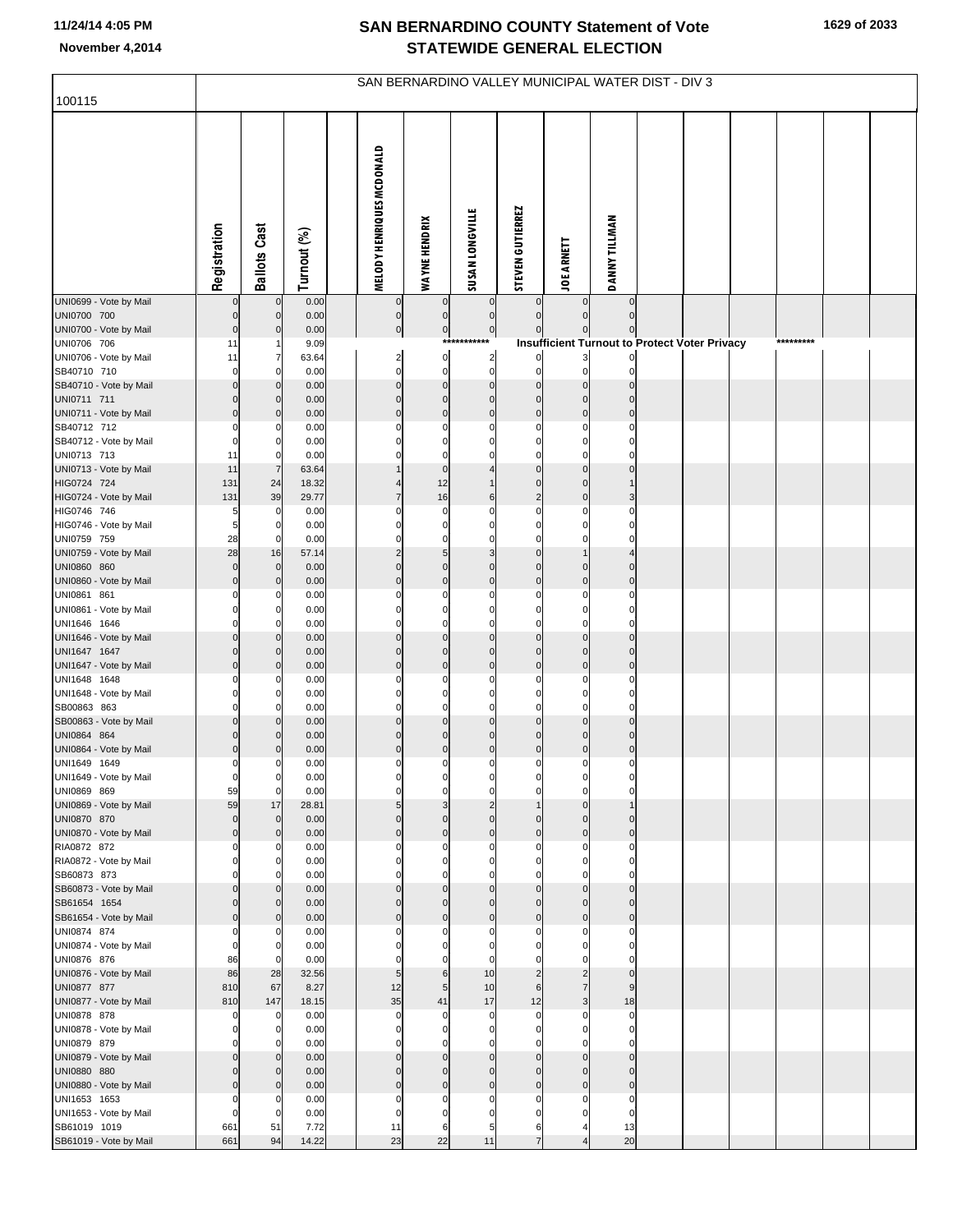| 100115                                 | SAN BERNARDINO VALLEY MUNICIPAL WATER DIST - DIV 3 |                              |                |  |                           |                             |                                  |                                  |                                                      |                      |  |  |  |           |  |  |
|----------------------------------------|----------------------------------------------------|------------------------------|----------------|--|---------------------------|-----------------------------|----------------------------------|----------------------------------|------------------------------------------------------|----------------------|--|--|--|-----------|--|--|
|                                        |                                                    |                              |                |  |                           |                             |                                  |                                  |                                                      |                      |  |  |  |           |  |  |
|                                        | Registration                                       | <b>Ballots Cast</b>          | Turnout (%)    |  | MELODY HENRIQUES MCDONALD | <b>WAYNE HENDRIX</b>        | <b>SUSAN LONGVILLE</b>           | <b>STEVEN GUTIERREZ</b>          | <b>JOE ARNETT</b>                                    | <b>DANNY TILLMAN</b> |  |  |  |           |  |  |
| UNI0699 - Vote by Mail                 |                                                    | $\mathbf 0$                  | 0.00           |  | $\overline{0}$            | $\mathbf 0$                 | $\mathbf 0$                      | $\overline{0}$                   | $\overline{0}$                                       | $\mathbf 0$          |  |  |  |           |  |  |
| UNI0700 700<br>UNI0700 - Vote by Mail  | $\mathbf 0$<br>$\mathbf 0$                         | $\mathbf 0$<br>$\mathbf{0}$  | 0.00<br>0.00   |  | $\pmb{0}$<br>$\pmb{0}$    | $\mathbf 0$<br>$\mathbf{0}$ | $\mathbf{0}$<br>$\boldsymbol{0}$ | $\overline{0}$<br>$\overline{0}$ | $\Omega$<br>$\overline{0}$                           | $\mathbf{0}$         |  |  |  |           |  |  |
| UNI0706 706                            | 11                                                 |                              | 9.09           |  |                           |                             | ***********                      |                                  | <b>Insufficient Turnout to Protect Voter Privacy</b> |                      |  |  |  | ********* |  |  |
| UNI0706 - Vote by Mail                 | 11                                                 | 7                            | 63.64          |  | $\overline{c}$            | $\overline{0}$              | $\overline{2}$                   | $\overline{0}$                   | 3 <sup>1</sup>                                       |                      |  |  |  |           |  |  |
| SB40710 710<br>SB40710 - Vote by Mail  | $\Omega$<br>$\mathbf 0$                            | 0<br>$\mathbf{0}$            | 0.00<br>0.00   |  | $\Omega$<br>$\Omega$      | $\mathbf 0$<br>$\mathbf 0$  | $\mathbf 0$<br>$\mathbf 0$       | 0<br>$\overline{0}$              | $\mathbf 0$<br>$\overline{0}$                        |                      |  |  |  |           |  |  |
| UNI0711 711                            | $\mathbf 0$                                        | $\mathbf{0}$                 | 0.00           |  | $\Omega$                  | $\mathbf 0$                 | $\mathbf 0$                      | $\Omega$                         | $\overline{0}$                                       | $\Omega$             |  |  |  |           |  |  |
| UNI0711 - Vote by Mail                 | $\mathbf 0$                                        | $\mathbf{0}$                 | 0.00           |  | $\mathbf 0$               | $\mathbf 0$                 | $\mathbf 0$                      | $\overline{0}$                   | $\overline{0}$                                       | $\mathbf{0}$         |  |  |  |           |  |  |
| SB40712 712<br>SB40712 - Vote by Mail  | $\Omega$<br>$\Omega$                               | 0<br>0                       | 0.00<br>0.00   |  | C                         | $\Omega$<br>$\Omega$        | $\Omega$<br>$\Omega$             | 0<br>0                           | $\mathbf 0$<br>$\mathbf 0$                           |                      |  |  |  |           |  |  |
| UNI0713 713                            | 11                                                 | 0                            | 0.00           |  |                           | $\Omega$                    | $\Omega$                         | $\Omega$                         | $\mathbf 0$                                          |                      |  |  |  |           |  |  |
| UNI0713 - Vote by Mail                 | 11                                                 | $\overline{7}$               | 63.64          |  |                           | $\mathbf 0$                 | $\overline{4}$                   | $\Omega$                         | $\overline{0}$                                       | $\mathbf 0$          |  |  |  |           |  |  |
| HIG0724 724<br>HIG0724 - Vote by Mail  | 131<br>131                                         | 24<br>39                     | 18.32<br>29.77 |  | $\overline{7}$            | 12<br>16                    | $\overline{1}$<br>6              | $\mathbf 0$<br>$\overline{2}$    | $\overline{0}$<br>$\overline{0}$                     |                      |  |  |  |           |  |  |
| HIG0746 746                            | 5                                                  | $\mathbf 0$                  | 0.00           |  | C                         | $\mathbf 0$                 | $\Omega$                         | $\mathbf 0$                      | $\mathbf 0$                                          |                      |  |  |  |           |  |  |
| HIG0746 - Vote by Mail                 | 5                                                  | $\mathbf 0$                  | 0.00           |  | $\Omega$                  | 0                           | $\Omega$                         | $\mathbf 0$                      | $\mathbf 0$                                          |                      |  |  |  |           |  |  |
| UNI0759 759<br>UNI0759 - Vote by Mail  | 28<br>28                                           | $\mathbf 0$<br>16            | 0.00<br>57.14  |  | C<br>2                    | $\mathbf 0$<br>5            | $\Omega$<br>3                    | 0<br>$\overline{0}$              | $\mathbf 0$                                          |                      |  |  |  |           |  |  |
| UNI0860 860                            | $\mathbf 0$                                        | $\mathbf{0}$                 | 0.00           |  | $\Omega$                  | $\mathbf 0$                 | $\mathbf 0$                      | $\Omega$                         | $\overline{0}$                                       | $\mathbf 0$          |  |  |  |           |  |  |
| UNI0860 - Vote by Mail                 | $\mathbf 0$                                        | $\mathbf{0}$                 | 0.00           |  | $\mathbf 0$               | $\mathbf 0$                 | $\mathbf 0$                      | $\overline{0}$                   | $\overline{0}$                                       | $\mathbf{0}$         |  |  |  |           |  |  |
| UNI0861 861<br>UNI0861 - Vote by Mail  | 0<br>$\Omega$                                      | 0<br>0                       | 0.00<br>0.00   |  | C<br>$\Omega$             | $\Omega$<br>$\mathbf 0$     | $\Omega$<br>$\mathbf 0$          | $\Omega$<br>0                    | $\mathbf 0$<br>$\mathbf 0$                           |                      |  |  |  |           |  |  |
| UNI1646 1646                           |                                                    | O                            | 0.00           |  | ſ                         | $\Omega$                    | $\Omega$                         | 0                                | $\mathbf 0$                                          |                      |  |  |  |           |  |  |
| UNI1646 - Vote by Mail                 | $\mathbf 0$                                        | $\mathbf 0$                  | 0.00           |  | $\Omega$                  | $\mathbf 0$                 | $\mathbf 0$                      | $\Omega$                         | $\overline{0}$                                       | $\mathbf{0}$         |  |  |  |           |  |  |
| UNI1647 1647<br>UNI1647 - Vote by Mail | $\mathbf 0$<br>$\mathbf 0$                         | $\mathbf{0}$<br>$\mathbf{0}$ | 0.00<br>0.00   |  | $\Omega$<br>$\Omega$      | $\mathbf 0$<br>$\mathbf 0$  | $\mathbf 0$<br>$\mathbf 0$       | $\mathbf 0$<br>$\mathbf 0$       | $\overline{0}$<br>$\overline{0}$                     | $\Omega$<br>$\Omega$ |  |  |  |           |  |  |
| UNI1648 1648                           | $\Omega$                                           | $\Omega$                     | 0.00           |  | C                         | $\Omega$                    | $\Omega$                         | 0                                | $\mathbf 0$                                          |                      |  |  |  |           |  |  |
| UNI1648 - Vote by Mail                 | $\Omega$                                           | $\mathbf 0$                  | 0.00           |  | $\Omega$                  | $\mathbf 0$                 | $\mathbf 0$                      | 0                                | $\mathbf 0$                                          |                      |  |  |  |           |  |  |
| SB00863 863<br>SB00863 - Vote by Mail  | $\Omega$<br>$\mathbf 0$                            | 0<br>$\mathbf{0}$            | 0.00<br>0.00   |  | C<br>$\Omega$             | $\Omega$<br>$\mathbf 0$     | $\Omega$<br>$\mathbf{0}$         | $\mathbf 0$<br>$\Omega$          | $\mathbf 0$<br>$\overline{0}$                        |                      |  |  |  |           |  |  |
| UNI0864 864                            | $\mathbf 0$                                        | 0                            | 0.00           |  | $\Omega$                  | $\mathbf 0$                 | $\mathbf 0$                      | $\mathbf{0}$                     | $\mathbf 0$                                          |                      |  |  |  |           |  |  |
| UNI0864 - Vote by Mail                 | $\mathbf 0$                                        | $\mathbf 0$                  | 0.00           |  | $\mathbf 0$               | $\mathbf 0$                 | $\mathbf 0$                      | $\mathbf 0$                      | $\overline{0}$                                       | $\Omega$             |  |  |  |           |  |  |
| UNI1649 1649<br>UNI1649 - Vote by Mail | 0<br>0                                             | 0<br>$\overline{0}$          | 0.00<br>0.00   |  | $\Omega$                  | $\Omega$                    | $\Omega$                         | $\Omega$                         | 0                                                    | 0                    |  |  |  |           |  |  |
| UNI0869 869                            | 59                                                 | $\mathbf 0$                  | 0.00           |  | C                         | $\Omega$                    | $\sqrt{ }$                       | $\Omega$                         | $\mathbf 0$                                          |                      |  |  |  |           |  |  |
| UNI0869 - Vote by Mail                 | 59                                                 | 17                           | 28.81          |  | 5                         | 3                           | $\overline{c}$                   |                                  | $\overline{0}$                                       |                      |  |  |  |           |  |  |
| UNI0870 870<br>UNI0870 - Vote by Mail  | $\mathbf 0$<br>$\mathbf 0$                         | $\mathbf{0}$<br>$\mathbf{0}$ | 0.00<br>0.00   |  | $\Omega$<br>$\Omega$      | $\Omega$<br>$\mathbf 0$     | $\Omega$<br>$\mathbf 0$          | $\Omega$<br>$\mathbf 0$          | $\mathbf{0}$<br>$\Omega$                             |                      |  |  |  |           |  |  |
| RIA0872 872                            | $\Omega$                                           | 0                            | 0.00           |  | C                         | $\Omega$                    | $\Omega$                         | $\Omega$                         | $\Omega$                                             |                      |  |  |  |           |  |  |
| RIA0872 - Vote by Mail<br>SB60873 873  | $\Omega$                                           | 0                            | 0.00           |  | C                         | $\Omega$<br>O               | $\Omega$                         | $\Omega$                         | $\Omega$                                             |                      |  |  |  |           |  |  |
| SB60873 - Vote by Mail                 | $\mathbf 0$                                        | $\mathbf{0}$                 | 0.00<br>0.00   |  | $\Omega$                  | $\mathbf 0$                 | $\mathbf 0$                      | $\mathbf 0$                      | $\Omega$                                             |                      |  |  |  |           |  |  |
| SB61654 1654                           | $\Omega$                                           | $\mathbf{0}$                 | 0.00           |  | $\mathcal{C}$             | $\Omega$                    | $\Omega$                         | $\Omega$                         | $\mathbf{0}$                                         | $\Omega$             |  |  |  |           |  |  |
| SB61654 - Vote by Mail<br>UNI0874 874  | $\Omega$<br>$\Omega$                               | $\mathbf{0}$<br>0            | 0.00<br>0.00   |  | $\Omega$<br>C             | $\Omega$<br>$\Omega$        | $\Omega$<br>$\Omega$             | $\mathbf{0}$<br>$\Omega$         | $\mathbf{0}$<br>$\Omega$                             | $\Omega$             |  |  |  |           |  |  |
| UNI0874 - Vote by Mail                 | $\Omega$                                           | $\mathbf 0$                  | 0.00           |  | $\mathcal{C}$             | $\Omega$                    | $\Omega$                         | $\Omega$                         |                                                      |                      |  |  |  |           |  |  |
| UNI0876 876                            | 86                                                 | $\mathbf 0$                  | 0.00           |  |                           | 0                           | $\mathcal{C}$                    |                                  |                                                      |                      |  |  |  |           |  |  |
| UNI0876 - Vote by Mail<br>UNI0877 877  | 86<br>810                                          | 28<br>67                     | 32.56<br>8.27  |  | 5<br>12                   | $6\phantom{1}6$<br>5        | 10<br>10                         | $\overline{2}$<br>6              | $\overline{2}$                                       |                      |  |  |  |           |  |  |
| UNI0877 - Vote by Mail                 | 810                                                | 147                          | 18.15          |  | 35                        | 41                          | 17                               | 12                               | 3                                                    | 18                   |  |  |  |           |  |  |
| UNI0878 878                            | $\Omega$                                           | 0                            | 0.00           |  | $\Omega$                  | $\Omega$                    | $\mathbf 0$                      | $\mathbf 0$                      | $\Omega$                                             | $\Omega$             |  |  |  |           |  |  |
| UNI0878 - Vote by Mail<br>UNI0879 879  | 0                                                  | 0                            | 0.00<br>0.00   |  | 0                         | $\Omega$<br>O               | $\Omega$                         | $\Omega$                         | $\Omega$                                             | $\Omega$             |  |  |  |           |  |  |
| UNI0879 - Vote by Mail                 | $\mathbf 0$                                        | $\mathbf{0}$                 | 0.00           |  | $\Omega$                  | $\mathbf 0$                 | $\mathbf 0$                      | $\Omega$                         | $\Omega$                                             | $\Omega$             |  |  |  |           |  |  |
| UNI0880 880                            | $\Omega$                                           | $\mathbf{0}$                 | 0.00           |  | C                         | $\Omega$                    | $\Omega$                         | $\Omega$                         | $\mathbf{0}$                                         | $\Omega$             |  |  |  |           |  |  |
| UNI0880 - Vote by Mail                 | $\Omega$                                           | $\mathbf{0}$<br>$\Omega$     | 0.00           |  | $\Omega$                  | $\Omega$<br>$\Omega$        | $\Omega$<br>C                    | $\mathbf{0}$<br>$\Omega$         | $\mathbf{0}$                                         | $\Omega$             |  |  |  |           |  |  |
| UNI1653 1653<br>UNI1653 - Vote by Mail | $\Omega$<br>$\Omega$                               | $\mathbf 0$                  | 0.00<br>0.00   |  | C<br>$\mathsf{C}$         | $\Omega$                    | C                                | $\Omega$                         |                                                      | $\Omega$             |  |  |  |           |  |  |
| SB61019 1019                           | 661                                                | 51                           | 7.72           |  | 11                        | 6                           | 5                                | 6                                |                                                      | 13                   |  |  |  |           |  |  |
| SB61019 - Vote by Mail                 | 661                                                | 94                           | 14.22          |  | 23                        | 22                          | 11                               |                                  |                                                      | 20                   |  |  |  |           |  |  |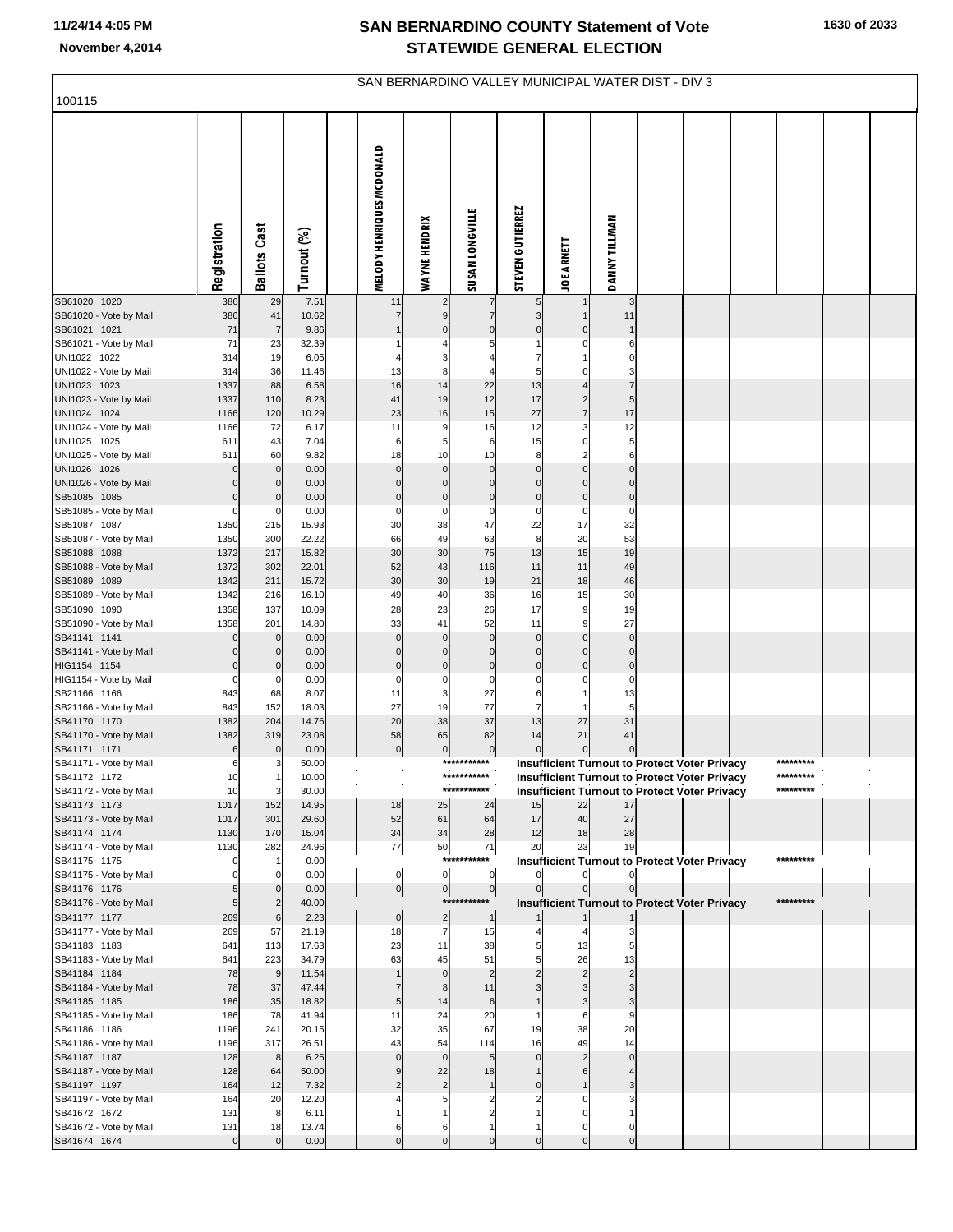| 100115                                 | SAN BERNARDINO VALLEY MUNICIPAL WATER DIST - DIV 3 |                             |                |  |                              |                          |                               |                                |                                           |                                                      |  |  |  |           |  |
|----------------------------------------|----------------------------------------------------|-----------------------------|----------------|--|------------------------------|--------------------------|-------------------------------|--------------------------------|-------------------------------------------|------------------------------------------------------|--|--|--|-----------|--|
|                                        |                                                    |                             |                |  |                              |                          |                               |                                |                                           |                                                      |  |  |  |           |  |
|                                        | Registration                                       | Ballots Cast                | Turnout (%)    |  | MELODY HENRIQUES MCDONALD    | <b>WAYNE HENDRIX</b>     | <b>SUSAN LONGVILLE</b>        | <b>STEVEN GUTIERREZ</b>        | <b>JOE ARNETT</b>                         | <b>DANNY TILLMAN</b>                                 |  |  |  |           |  |
| SB61020 1020                           | 386                                                | 29                          | 7.51           |  | 11                           | 2                        | 7                             | 5                              |                                           | 3                                                    |  |  |  |           |  |
| SB61020 - Vote by Mail<br>SB61021 1021 | 386<br>71                                          | 41<br>$\overline{7}$        | 10.62<br>9.86  |  | $\overline{7}$               | 9<br>$\mathbf 0$         | $\overline{7}$<br>$\mathbf 0$ | 3<br>$\mathbf 0$               | $\mathbf{1}$<br>$\mathbf 0$               | 11<br>$\mathbf 1$                                    |  |  |  |           |  |
| SB61021 - Vote by Mail                 | 71                                                 | 23                          | 32.39          |  |                              |                          |                               |                                | C                                         | 6                                                    |  |  |  |           |  |
| UNI1022 1022                           | 314                                                | 19                          | 6.05           |  |                              | 3                        |                               | $\overline{7}$                 | 1                                         | $\Omega$                                             |  |  |  |           |  |
| UNI1022 - Vote by Mail                 | 314                                                | 36                          | 11.46          |  | 13                           | 8                        | 4                             | 5                              | C                                         | 3                                                    |  |  |  |           |  |
| UNI1023 1023                           | 1337                                               | 88                          | 6.58           |  | 16                           | 14                       | 22                            | 13                             | $\overline{4}$                            | $\overline{7}$                                       |  |  |  |           |  |
| UNI1023 - Vote by Mail<br>UNI1024 1024 | 1337<br>1166                                       | 110<br>120                  | 8.23<br>10.29  |  | 41<br>23                     | 19<br>16                 | 12<br>15                      | 17<br>27                       | $\overline{\mathbf{c}}$<br>$\overline{7}$ | 5<br>17                                              |  |  |  |           |  |
| UNI1024 - Vote by Mail                 | 1166                                               | 72                          | 6.17           |  | 11                           | 9                        | 16                            | 12                             | 3                                         | 12                                                   |  |  |  |           |  |
| UNI1025 1025                           | 611                                                | 43                          | 7.04           |  | 6                            | 5                        | 6                             | 15                             | 0                                         | 5                                                    |  |  |  |           |  |
| UNI1025 - Vote by Mail                 | 611                                                | 60                          | 9.82           |  | 18                           | 10                       | 10                            | 8                              | $\overline{2}$                            | 6                                                    |  |  |  |           |  |
| UNI1026 1026                           | $\mathbf 0$                                        | $\mathbf 0$                 | 0.00           |  | $\mathbf 0$                  | $\mathbf 0$              | $\mathbf 0$                   | $\mathbf 0$                    | $\mathbf 0$                               | $\mathbf 0$                                          |  |  |  |           |  |
| UNI1026 - Vote by Mail<br>SB51085 1085 | $\Omega$<br>$\mathbf 0$                            | 0<br>$\mathbf 0$            | 0.00<br>0.00   |  | $\mathbf 0$<br>$\bf 0$       | $\mathbf 0$<br>$\pmb{0}$ | $\mathbf 0$<br>$\pmb{0}$      | $\mathbf 0$<br>$\pmb{0}$       | $\Omega$<br>$\mathbf 0$                   | $\mathbf 0$<br>$\pmb{0}$                             |  |  |  |           |  |
| SB51085 - Vote by Mail                 | $\mathbf 0$                                        | 0                           | 0.00           |  | $\pmb{0}$                    | $\mathbf 0$              | $\mathbf 0$                   | $\mathbf 0$                    | $\mathbf 0$                               | $\mathbf 0$                                          |  |  |  |           |  |
| SB51087 1087                           | 1350                                               | 215                         | 15.93          |  | 30                           | 38                       | 47                            | 22                             | 17                                        | 32                                                   |  |  |  |           |  |
| SB51087 - Vote by Mail                 | 1350                                               | 300                         | 22.22          |  | 66                           | 49                       | 63                            | 8                              | 20                                        | 53                                                   |  |  |  |           |  |
| SB51088 1088                           | 1372                                               | 217                         | 15.82          |  | 30                           | 30                       | 75                            | 13                             | 15                                        | 19                                                   |  |  |  |           |  |
| SB51088 - Vote by Mail<br>SB51089 1089 | 1372<br>1342                                       | 302<br>211                  | 22.01<br>15.72 |  | 52<br>30                     | 43<br>30                 | 116<br>19                     | 11<br>21                       | 11<br>18                                  | 49<br>46                                             |  |  |  |           |  |
| SB51089 - Vote by Mail                 | 1342                                               | 216                         | 16.10          |  | 49                           | 40                       | 36                            | 16                             | 15                                        | 30                                                   |  |  |  |           |  |
| SB51090 1090                           | 1358                                               | 137                         | 10.09          |  | 28                           | 23                       | 26                            | 17                             | g                                         | 19                                                   |  |  |  |           |  |
| SB51090 - Vote by Mail                 | 1358                                               | 201                         | 14.80          |  | 33                           | 41                       | 52                            | 11                             | c                                         | 27                                                   |  |  |  |           |  |
| SB41141 1141                           | $\mathbf 0$                                        | $\mathbf 0$                 | 0.00           |  | $\mathbf 0$                  | $\mathsf{C}$             | $\mathbf 0$                   | $\mathbf 0$                    | $\Omega$                                  | $\mathbf 0$                                          |  |  |  |           |  |
| SB41141 - Vote by Mail<br>HIG1154 1154 | $\mathbf 0$<br>$\mathbf 0$                         | $\mathbf 0$<br>$\mathbf{0}$ | 0.00<br>0.00   |  | $\mathbf 0$<br>$\bf 0$       | $\mathbf 0$<br>$\pmb{0}$ | $\mathbf 0$<br>$\pmb{0}$      | $\mathbf 0$<br>$\mathbf 0$     | $\mathsf{C}$<br>$\mathsf{C}$              | $\mathbf 0$<br>$\pmb{0}$                             |  |  |  |           |  |
| HIG1154 - Vote by Mail                 | 0                                                  | 0                           | 0.00           |  | $\mathbf 0$                  | $\mathbf 0$              | $\mathbf 0$                   | $\mathbf 0$                    |                                           | $\mathbf 0$                                          |  |  |  |           |  |
| SB21166 1166                           | 843                                                | 68                          | 8.07           |  | 11                           | 3                        | 27                            | 6                              |                                           | 13                                                   |  |  |  |           |  |
| SB21166 - Vote by Mail                 | 843                                                | 152                         | 18.03          |  | 27                           | 19                       | 77                            | $\overline{7}$                 |                                           | 5                                                    |  |  |  |           |  |
| SB41170 1170<br>SB41170 - Vote by Mail | 1382<br>1382                                       | 204<br>319                  | 14.76<br>23.08 |  | 20<br>58                     | 38<br>65                 | 37<br>82                      | 13<br>14                       | 27<br>21                                  | 31<br>41                                             |  |  |  |           |  |
| SB41171 1171                           | 6                                                  | $\mathbf 0$                 | 0.00           |  | $\overline{0}$               | $\pmb{0}$                | $\overline{0}$                | $\mathbf 0$                    | $\mathbf 0$                               | $\mathbf 0$                                          |  |  |  |           |  |
| SB41171 - Vote by Mail                 | 6                                                  |                             | 50.00          |  | $\mathbf{r}$<br>$\mathbf{r}$ |                          | ***********                   |                                |                                           | Insufficient Turnout to Protect Voter Privacy        |  |  |  | ********* |  |
| SB41172 1172                           | 10                                                 |                             | 10.00          |  |                              |                          |                               |                                |                                           | <b>Insufficient Turnout to Protect Voter Privacy</b> |  |  |  |           |  |
| SB41172 - Vote by Mail                 | 10                                                 | 3                           | 30.00          |  |                              |                          | ***********                   |                                |                                           | Insufficient Turnout to Protect Voter Privacy        |  |  |  | ********* |  |
| SB41173 1173<br>SB41173 - Vote by Mail | 1017<br>1017                                       | 152<br>301                  | 14.95<br>29.60 |  | 18<br>52                     | 25<br>61                 | 24<br>64                      | 15<br>17                       | 22<br>40                                  | 17<br>27                                             |  |  |  |           |  |
| SB41174 1174                           | 1130                                               | 170                         | 15.04          |  | 34                           | 34                       | 28                            | 12                             | 18                                        | 28                                                   |  |  |  |           |  |
| SB41174 - Vote by Mail                 | 1130                                               | 282                         | 24.96          |  | $77$                         | 50                       | 71                            | 20                             | 23                                        | 19                                                   |  |  |  |           |  |
| SB41175 1175                           |                                                    |                             | 0.00           |  |                              |                          | ***********                   |                                |                                           | <b>Insufficient Turnout to Protect Voter Privacy</b> |  |  |  | ********* |  |
| SB41175 - Vote by Mail<br>SB41176 1176 |                                                    | $\overline{0}$              | 0.00           |  | $\overline{0}$               | $\mathbf 0$              | 0                             | $\mathbf{0}$<br>$\overline{0}$ | $\mathbf 0$<br>$\overline{0}$             | $\overline{0}$                                       |  |  |  |           |  |
| SB41176 - Vote by Mail                 | 5<br>5                                             |                             | 0.00<br>40.00  |  | $\overline{0}$               | $\overline{0}$           | $\overline{0}$<br>*********** |                                |                                           | <b>Insufficient Turnout to Protect Voter Privacy</b> |  |  |  | ********* |  |
| SB41177 1177                           | 269                                                | 6                           | 2.23           |  | $\overline{0}$               | $\overline{\mathbf{c}}$  | $\mathbf{1}$                  |                                |                                           |                                                      |  |  |  |           |  |
| SB41177 - Vote by Mail                 | 269                                                | 57                          | 21.19          |  | 18                           | $\overline{7}$           | 15                            |                                |                                           | 3                                                    |  |  |  |           |  |
| SB41183 1183                           | 641                                                | 113                         | 17.63          |  | 23                           | 11                       | 38                            | 5                              | 13                                        | 5                                                    |  |  |  |           |  |
| SB41183 - Vote by Mail<br>SB41184 1184 | 641<br>78                                          | 223<br>9                    | 34.79<br>11.54 |  | 63                           | 45<br>$\mathbf 0$        | 51<br>$\overline{2}$          | $\overline{c}$                 | 26<br>$\overline{2}$                      | 13<br>$\overline{2}$                                 |  |  |  |           |  |
| SB41184 - Vote by Mail                 | 78                                                 | 37                          | 47.44          |  |                              | 8                        | 11                            |                                |                                           |                                                      |  |  |  |           |  |
| SB41185 1185                           | 186                                                | 35                          | 18.82          |  | 5                            | 14                       | $6\phantom{1}6$               |                                | 3                                         | 3                                                    |  |  |  |           |  |
| SB41185 - Vote by Mail                 | 186                                                | 78                          | 41.94          |  | 11                           | 24                       | 20                            |                                | 6                                         | 9                                                    |  |  |  |           |  |
| SB41186 1186                           | 1196                                               | 241                         | 20.15          |  | 32                           | 35                       | 67                            | 19                             | 38                                        | 20                                                   |  |  |  |           |  |
| SB41186 - Vote by Mail<br>SB41187 1187 | 1196<br>128                                        | 317<br>8                    | 26.51<br>6.25  |  | 43<br>$\mathbf 0$            | 54<br>$\mathbf 0$        | 114<br>5                      | 16<br>$\mathbf 0$              | 49<br>$\overline{2}$                      | 14<br>$\mathbf 0$                                    |  |  |  |           |  |
| SB41187 - Vote by Mail                 | 128                                                | 64                          | 50.00          |  | 9                            | 22                       | 18                            |                                | 6                                         |                                                      |  |  |  |           |  |
| SB41197 1197                           | 164                                                | 12                          | 7.32           |  | $\overline{2}$               | $\overline{2}$           | $\mathbf{1}$                  | $\Omega$                       |                                           | 3                                                    |  |  |  |           |  |
| SB41197 - Vote by Mail                 | 164                                                | 20                          | 12.20          |  |                              | 5                        | $\overline{2}$                |                                |                                           |                                                      |  |  |  |           |  |
| SB41672 1672                           | 131                                                | 8                           | 6.11           |  |                              |                          | $\overline{2}$                |                                | C                                         |                                                      |  |  |  |           |  |
| SB41672 - Vote by Mail<br>SB41674 1674 | 131<br>$\mathbf{0}$                                | 18<br>$\Omega$              | 13.74<br>0.00  |  | 6<br>$\mathbf 0$             | 6<br>$\Omega$            | $\Omega$                      | $\Omega$                       | C<br>$\Omega$                             | C<br>$\mathbf 0$                                     |  |  |  |           |  |
|                                        |                                                    |                             |                |  |                              |                          |                               |                                |                                           |                                                      |  |  |  |           |  |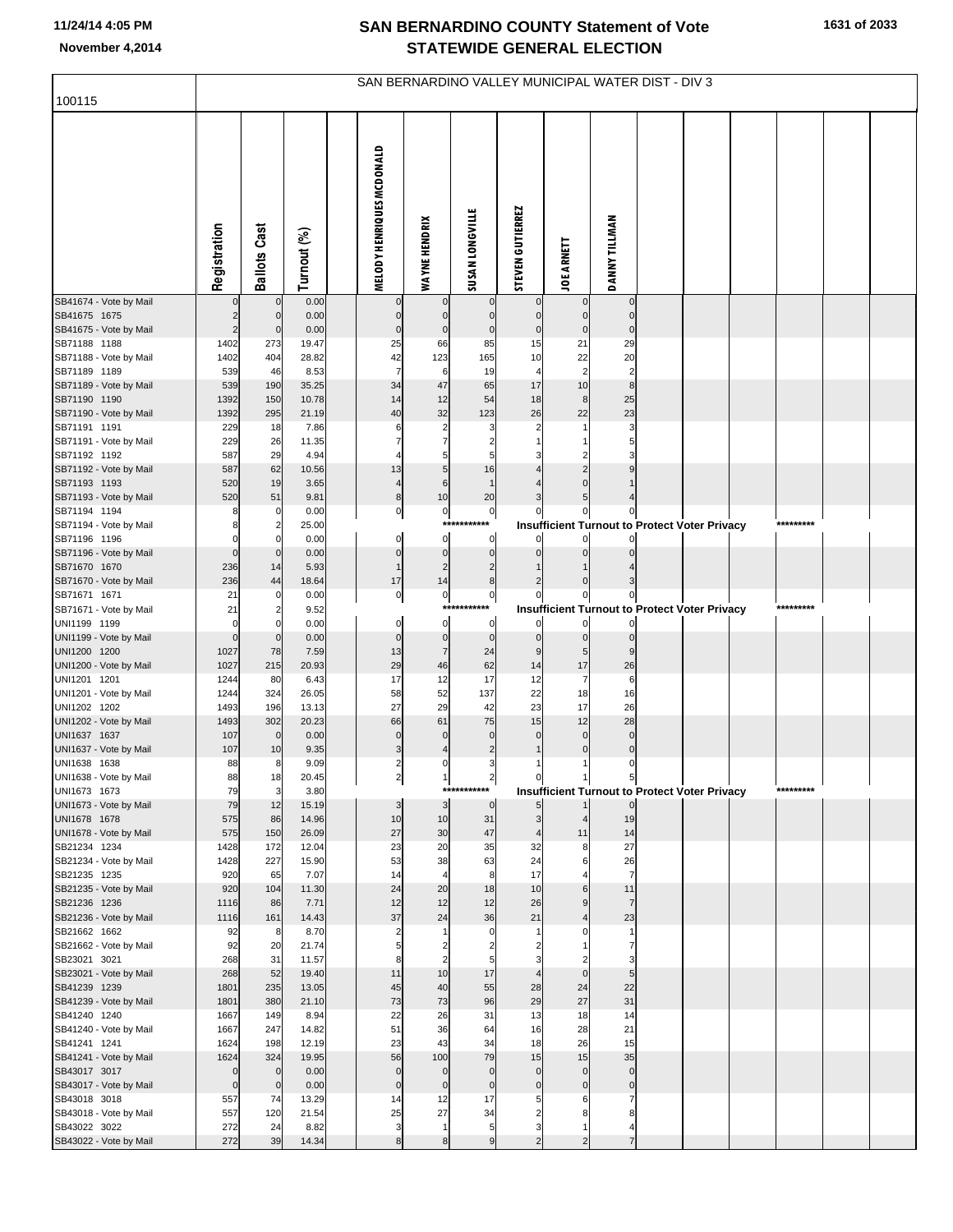| 100115                                 | SAN BERNARDINO VALLEY MUNICIPAL WATER DIST - DIV 3 |                     |                |  |                           |                      |                               |                         |                              |                            |  |                                                      |  |           |  |  |
|----------------------------------------|----------------------------------------------------|---------------------|----------------|--|---------------------------|----------------------|-------------------------------|-------------------------|------------------------------|----------------------------|--|------------------------------------------------------|--|-----------|--|--|
|                                        |                                                    |                     |                |  |                           |                      |                               |                         |                              |                            |  |                                                      |  |           |  |  |
|                                        | Registration                                       | <b>Ballots Cast</b> | Turnout (%)    |  | MELODY HENRIQUES MCDONALD | <b>WAYNE HENDRIX</b> | <b>SUSAN LONGVILLE</b>        | <b>STEVEN GUTIERREZ</b> | <b>JOE ARNETT</b>            | <b>DANNY TILLMAN</b>       |  |                                                      |  |           |  |  |
| SB41674 - Vote by Mail                 |                                                    | 0                   | 0.00           |  |                           |                      | 0                             |                         | $\overline{0}$               | $\mathbf 0$                |  |                                                      |  |           |  |  |
| SB41675 1675                           | $\overline{c}$                                     | $\mathbf 0$         | 0.00<br>0.00   |  | $\Omega$<br>$\Omega$      | $\mathbf 0$          | $\mathbf{0}$                  | $\mathbf 0$             | $\Omega$<br>$\Omega$         | $\mathbf 0$<br>$\Omega$    |  |                                                      |  |           |  |  |
| SB41675 - Vote by Mail<br>SB71188 1188 | $\overline{c}$<br>1402                             | $\mathbf 0$<br>273  | 19.47          |  | 25                        | $\mathbf 0$<br>66    | $\mathbf 0$<br>85             | $\mathbf 0$<br>15       | 21                           | 29                         |  |                                                      |  |           |  |  |
| SB71188 - Vote by Mail                 | 1402                                               | 404                 | 28.82          |  | 42                        | 123                  | 165                           | 10                      | 22                           | 20                         |  |                                                      |  |           |  |  |
| SB71189 1189                           | 539                                                | 46                  | 8.53           |  | $\overline{7}$            | 6                    | 19                            | $\overline{4}$          | $\overline{2}$               |                            |  |                                                      |  |           |  |  |
| SB71189 - Vote by Mail                 | 539                                                | 190                 | 35.25          |  | 34                        | 47                   | 65                            | 17                      | 10                           | 8                          |  |                                                      |  |           |  |  |
| SB71190 1190                           | 1392                                               | 150                 | 10.78          |  | 14<br>40                  | 12<br>32             | 54                            | 18                      | 8<br>22                      | 25<br>23                   |  |                                                      |  |           |  |  |
| SB71190 - Vote by Mail<br>SB71191 1191 | 1392<br>229                                        | 295<br>18           | 21.19<br>7.86  |  | 6                         | 2                    | 123<br>З                      | 26                      |                              |                            |  |                                                      |  |           |  |  |
| SB71191 - Vote by Mail                 | 229                                                | 26                  | 11.35          |  | 7                         | $\overline{7}$       |                               |                         |                              |                            |  |                                                      |  |           |  |  |
| SB71192 1192                           | 587                                                | 29                  | 4.94           |  |                           | 5                    |                               |                         |                              |                            |  |                                                      |  |           |  |  |
| SB71192 - Vote by Mail                 | 587                                                | 62                  | 10.56          |  | 13                        | 5                    | 16                            |                         |                              |                            |  |                                                      |  |           |  |  |
| SB71193 1193                           | 520                                                | 19                  | 3.65           |  | $\overline{4}$            | 6                    | $\overline{1}$                |                         |                              |                            |  |                                                      |  |           |  |  |
| SB71193 - Vote by Mail<br>SB71194 1194 | 520<br>8                                           | 51                  | 9.81<br>0.00   |  | 8<br>0                    | 10<br>$\overline{0}$ | 20<br>$\overline{0}$          |                         | 5<br>이                       | 0                          |  |                                                      |  |           |  |  |
| SB71194 - Vote by Mail                 |                                                    |                     | 25.00          |  |                           | ***                  |                               |                         |                              |                            |  | <b>Insufficient Turnout to Protect Voter Privacy</b> |  | ********* |  |  |
| SB71196 1196                           | $\Omega$                                           |                     | 0.00           |  | $\mathbf 0$               | $\mathbf 0$          | 0                             | $\Omega$                | $\Omega$                     |                            |  |                                                      |  |           |  |  |
| SB71196 - Vote by Mail                 | $\mathbf 0$                                        | $\Omega$            | 0.00           |  | $\mathbf 0$               | $\pmb{0}$            | $\mathbf 0$                   | $\Omega$                |                              |                            |  |                                                      |  |           |  |  |
| SB71670 1670                           | 236                                                | 14                  | 5.93           |  | $\overline{1}$            | $\overline{c}$       | $\overline{2}$                |                         |                              |                            |  |                                                      |  |           |  |  |
| SB71670 - Vote by Mail<br>SB71671 1671 | 236<br>21                                          | 44                  | 18.64<br>0.00  |  | 17<br>$\pmb{0}$           | 14<br>$\overline{0}$ | 8<br>0                        | $\overline{2}$<br>0     | 이                            | $\mathbf{0}$               |  |                                                      |  |           |  |  |
| SB71671 - Vote by Mail                 | 21                                                 |                     | 9.52           |  |                           | ***                  |                               |                         |                              |                            |  | <b>Insufficient Turnout to Protect Voter Privacy</b> |  | ********* |  |  |
| UNI1199 1199                           | $\Omega$                                           |                     | 0.00           |  | $\mathbf 0$               | $\mathbf 0$          | 0                             |                         | $\overline{0}$               |                            |  |                                                      |  |           |  |  |
| UNI1199 - Vote by Mail                 | $\mathbf 0$                                        | $\Omega$            | 0.00           |  | $\mathbf 0$               | $\pmb{0}$            | $\mathbf 0$                   | $\mathbf 0$             | $\overline{0}$               | $\Omega$                   |  |                                                      |  |           |  |  |
| UNI1200 1200<br>UNI1200 - Vote by Mail | 1027<br>1027                                       | 78<br>215           | 7.59<br>20.93  |  | 13<br>29                  | $\overline{7}$<br>46 | 24<br>62                      | 9<br>14                 | 5 <sub>l</sub><br>17         | 26                         |  |                                                      |  |           |  |  |
| UNI1201 1201                           | 1244                                               | 80                  | 6.43           |  | 17                        | 12                   | 17                            | 12                      | $\overline{7}$               | 6                          |  |                                                      |  |           |  |  |
| UNI1201 - Vote by Mail                 | 1244                                               | 324                 | 26.05          |  | 58                        | 52                   | 137                           | 22                      | 18                           | 16                         |  |                                                      |  |           |  |  |
| UNI1202 1202                           | 1493                                               | 196                 | 13.13          |  | 27                        | 29                   | 42                            | 23                      | 17                           | 26                         |  |                                                      |  |           |  |  |
| UNI1202 - Vote by Mail                 | 1493                                               | 302                 | 20.23          |  | 66<br>$\Omega$            | 61<br>$\Omega$       | 75                            | 15                      | 12                           | 28                         |  |                                                      |  |           |  |  |
| UNI1637 1637<br>UNI1637 - Vote by Mail | 107<br>107                                         | $\mathbf 0$<br>10   | 0.00<br>9.35   |  | 3                         |                      | $\mathbf 0$<br>$\overline{2}$ | $\Omega$                | $\mathbf{0}$<br>$\mathbf{0}$ | $\mathbf 0$<br>$\mathbf 0$ |  |                                                      |  |           |  |  |
| UNI1638 1638                           | 88                                                 | 8                   | 9.09           |  | 2                         | 0                    | 3                             |                         |                              | 0                          |  |                                                      |  |           |  |  |
| UNI1638 - Vote by Mail                 | 88                                                 | 18                  | 20.45          |  | 각                         | 막.                   | 각                             | ο                       |                              | $\mathcal{P}$              |  |                                                      |  |           |  |  |
| UNI1673 1673                           | 79                                                 | 3                   | 3.80           |  |                           |                      | ***********                   |                         |                              |                            |  | <b>Insufficient Turnout to Protect Voter Privacy</b> |  | ********* |  |  |
| UNI1673 - Vote by Mail<br>UNI1678 1678 | 79<br>575                                          | 12<br>86            | 15.19<br>14.96 |  | 3<br>10                   | 3<br>10              | $\overline{0}$<br>31          | 3                       |                              | $\overline{0}$<br>19       |  |                                                      |  |           |  |  |
| UNI1678 - Vote by Mail                 | 575                                                | 150                 | 26.09          |  | 27                        | 30                   | 47                            | $\overline{4}$          | 11                           | 14                         |  |                                                      |  |           |  |  |
| SB21234 1234                           | 1428                                               | 172                 | 12.04          |  | 23                        | 20                   | 35                            | 32                      | 8                            | 27                         |  |                                                      |  |           |  |  |
| SB21234 - Vote by Mail                 | 1428                                               | 227                 | 15.90          |  | 53                        | 38                   | 63                            | 24                      | 6                            | 26                         |  |                                                      |  |           |  |  |
| SB21235 1235                           | 920                                                | 65                  | 7.07           |  | 14<br>24                  | $\overline{4}$       | 8<br>18                       | 17                      |                              | $\overline{7}$<br>11       |  |                                                      |  |           |  |  |
| SB21235 - Vote by Mail<br>SB21236 1236 | 920<br>1116                                        | 104<br>86           | 11.30<br>7.71  |  | 12                        | 20<br>12             | 12                            | 10<br>26                | 6<br>9                       | $\overline{7}$             |  |                                                      |  |           |  |  |
| SB21236 - Vote by Mail                 | 1116                                               | 161                 | 14.43          |  | 37                        | 24                   | 36                            | 21                      |                              | 23                         |  |                                                      |  |           |  |  |
| SB21662 1662                           | 92                                                 | 8                   | 8.70           |  | 2                         |                      | $\Omega$                      |                         |                              | -1                         |  |                                                      |  |           |  |  |
| SB21662 - Vote by Mail                 | 92                                                 | 20                  | 21.74          |  | 5                         | 2                    |                               |                         |                              |                            |  |                                                      |  |           |  |  |
| SB23021 3021<br>SB23021 - Vote by Mail | 268<br>268                                         | 31<br>52            | 11.57<br>19.40 |  | 8<br>11                   | $\overline{2}$<br>10 | 5<br>17                       | 3<br>$\overline{4}$     | $\mathbf{0}$                 | 5                          |  |                                                      |  |           |  |  |
| SB41239 1239                           | 1801                                               | 235                 | 13.05          |  | 45                        | 40                   | 55                            | 28                      | 24                           | 22                         |  |                                                      |  |           |  |  |
| SB41239 - Vote by Mail                 | 1801                                               | 380                 | 21.10          |  | 73                        | 73                   | 96                            | 29                      | 27                           | 31                         |  |                                                      |  |           |  |  |
| SB41240 1240                           | 1667                                               | 149                 | 8.94           |  | 22                        | 26                   | 31                            | 13                      | 18                           | 14                         |  |                                                      |  |           |  |  |
| SB41240 - Vote by Mail                 | 1667                                               | 247                 | 14.82          |  | 51                        | 36                   | 64                            | 16                      | 28                           | 21                         |  |                                                      |  |           |  |  |
| SB41241 1241<br>SB41241 - Vote by Mail | 1624<br>1624                                       | 198<br>324          | 12.19<br>19.95 |  | 23<br>56                  | 43<br>100            | 34<br>79                      | 18<br>15                | 26<br>15                     | 15<br>35                   |  |                                                      |  |           |  |  |
| SB43017 3017                           | $\mathbf 0$                                        | $\mathbf 0$         | 0.00           |  | $\mathbf 0$               | $\mathbf 0$          | $\mathbf 0$                   | $\mathbf 0$             | $\mathbf 0$                  | $\mathbf 0$                |  |                                                      |  |           |  |  |
| SB43017 - Vote by Mail                 | $\pmb{0}$                                          | $\mathbf 0$         | 0.00           |  | $\mathbf 0$               | $\mathbf 0$          | $\mathbf 0$                   | $\mathbf 0$             | $\mathbf{0}$                 | 0                          |  |                                                      |  |           |  |  |
| SB43018 3018                           | 557                                                | 74                  | 13.29          |  | 14                        | 12                   | 17                            | 5                       |                              |                            |  |                                                      |  |           |  |  |
| SB43018 - Vote by Mail                 | 557<br>272                                         | 120<br>24           | 21.54<br>8.82  |  | 25<br>3                   | 27<br>$\overline{1}$ | 34                            | 2<br>3                  |                              |                            |  |                                                      |  |           |  |  |
| SB43022 3022<br>SB43022 - Vote by Mail | 272                                                | 39                  | 14.34          |  | 8                         | 8                    | 5<br>9                        | $\overline{a}$          |                              |                            |  |                                                      |  |           |  |  |